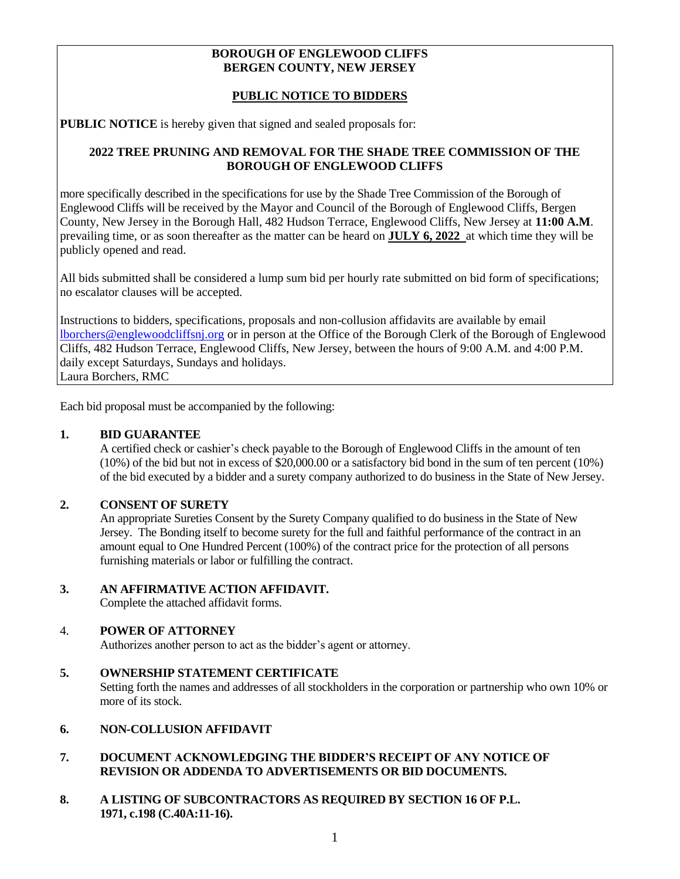### **BOROUGH OF ENGLEWOOD CLIFFS BERGEN COUNTY, NEW JERSEY**

# **PUBLIC NOTICE TO BIDDERS**

**PUBLIC NOTICE** is hereby given that signed and sealed proposals for:

# **2022 TREE PRUNING AND REMOVAL FOR THE SHADE TREE COMMISSION OF THE BOROUGH OF ENGLEWOOD CLIFFS**

more specifically described in the specifications for use by the Shade Tree Commission of the Borough of Englewood Cliffs will be received by the Mayor and Council of the Borough of Englewood Cliffs, Bergen County, New Jersey in the Borough Hall, 482 Hudson Terrace, Englewood Cliffs, New Jersey at **11:00 A.M**. prevailing time, or as soon thereafter as the matter can be heard on **JULY 6, 2022** at which time they will be publicly opened and read.

All bids submitted shall be considered a lump sum bid per hourly rate submitted on bid form of specifications; no escalator clauses will be accepted.

Instructions to bidders, specifications, proposals and non-collusion affidavits are available by email [lborchers@englewoodcliffsnj.org](mailto:lborchers@englewoodcliffsnj.org) or in person at the Office of the Borough Clerk of the Borough of Englewood Cliffs, 482 Hudson Terrace, Englewood Cliffs, New Jersey, between the hours of 9:00 A.M. and 4:00 P.M. daily except Saturdays, Sundays and holidays. Laura Borchers, RMC

Each bid proposal must be accompanied by the following:

## **1. BID GUARANTEE**

A certified check or cashier's check payable to the Borough of Englewood Cliffs in the amount of ten (10%) of the bid but not in excess of \$20,000.00 or a satisfactory bid bond in the sum of ten percent (10%) of the bid executed by a bidder and a surety company authorized to do business in the State of New Jersey.

# **2. CONSENT OF SURETY**

An appropriate Sureties Consent by the Surety Company qualified to do business in the State of New Jersey. The Bonding itself to become surety for the full and faithful performance of the contract in an amount equal to One Hundred Percent (100%) of the contract price for the protection of all persons furnishing materials or labor or fulfilling the contract.

# **3. AN AFFIRMATIVE ACTION AFFIDAVIT.**

Complete the attached affidavit forms.

# 4. **POWER OF ATTORNEY**

Authorizes another person to act as the bidder's agent or attorney.

# **5. OWNERSHIP STATEMENT CERTIFICATE** Setting forth the names and addresses of all stockholders in the corporation or partnership who own 10% or more of its stock.

# **6. NON-COLLUSION AFFIDAVIT**

# **7. DOCUMENT ACKNOWLEDGING THE BIDDER'S RECEIPT OF ANY NOTICE OF REVISION OR ADDENDA TO ADVERTISEMENTS OR BID DOCUMENTS.**

**8. A LISTING OF SUBCONTRACTORS AS REQUIRED BY SECTION 16 OF P.L. 1971, c.198 (C.40A:11-16).**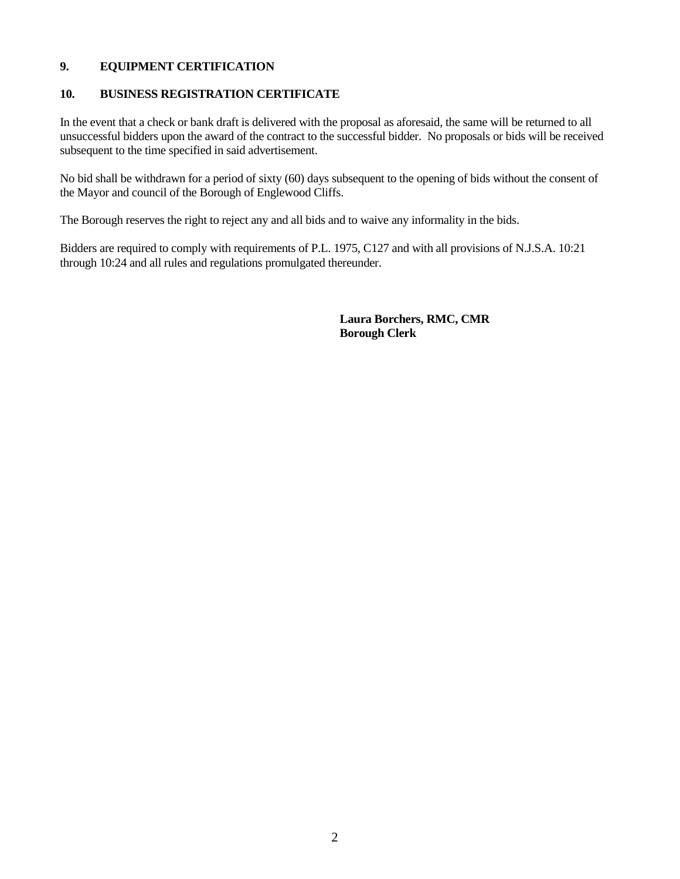# **9. EQUIPMENT CERTIFICATION**

# **10. BUSINESS REGISTRATION CERTIFICATE**

In the event that a check or bank draft is delivered with the proposal as aforesaid, the same will be returned to all unsuccessful bidders upon the award of the contract to the successful bidder. No proposals or bids will be received subsequent to the time specified in said advertisement.

No bid shall be withdrawn for a period of sixty (60) days subsequent to the opening of bids without the consent of the Mayor and council of the Borough of Englewood Cliffs.

The Borough reserves the right to reject any and all bids and to waive any informality in the bids.

Bidders are required to comply with requirements of P.L. 1975, C127 and with all provisions of N.J.S.A. 10:21 through 10:24 and all rules and regulations promulgated thereunder.

> **Laura Borchers, RMC, CMR Borough Clerk**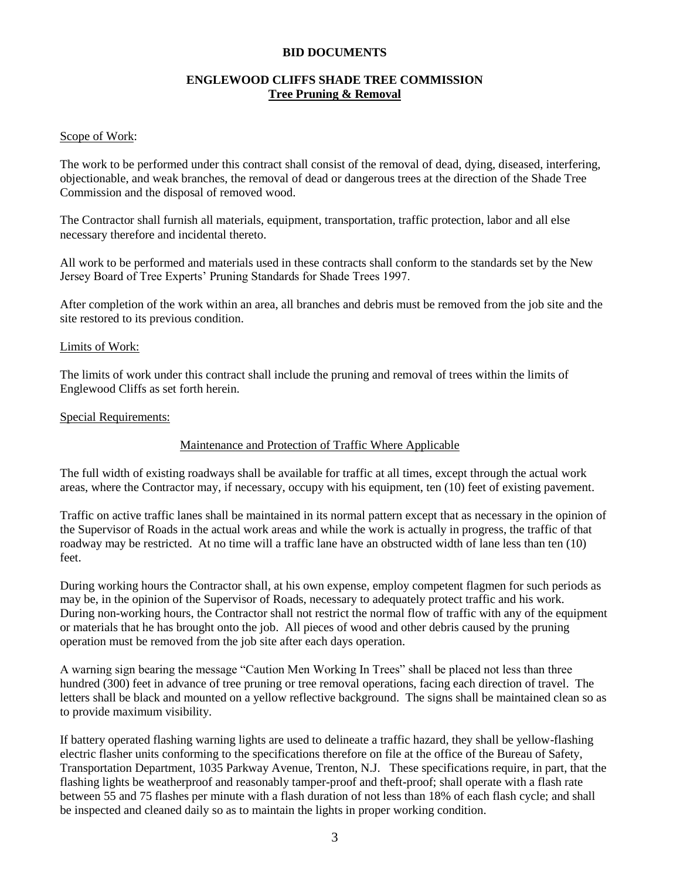#### **BID DOCUMENTS**

# **ENGLEWOOD CLIFFS SHADE TREE COMMISSION Tree Pruning & Removal**

#### Scope of Work:

The work to be performed under this contract shall consist of the removal of dead, dying, diseased, interfering, objectionable, and weak branches, the removal of dead or dangerous trees at the direction of the Shade Tree Commission and the disposal of removed wood.

The Contractor shall furnish all materials, equipment, transportation, traffic protection, labor and all else necessary therefore and incidental thereto.

All work to be performed and materials used in these contracts shall conform to the standards set by the New Jersey Board of Tree Experts' Pruning Standards for Shade Trees 1997.

After completion of the work within an area, all branches and debris must be removed from the job site and the site restored to its previous condition.

#### Limits of Work:

The limits of work under this contract shall include the pruning and removal of trees within the limits of Englewood Cliffs as set forth herein.

#### Special Requirements:

#### Maintenance and Protection of Traffic Where Applicable

The full width of existing roadways shall be available for traffic at all times, except through the actual work areas, where the Contractor may, if necessary, occupy with his equipment, ten (10) feet of existing pavement.

Traffic on active traffic lanes shall be maintained in its normal pattern except that as necessary in the opinion of the Supervisor of Roads in the actual work areas and while the work is actually in progress, the traffic of that roadway may be restricted. At no time will a traffic lane have an obstructed width of lane less than ten (10) feet.

During working hours the Contractor shall, at his own expense, employ competent flagmen for such periods as may be, in the opinion of the Supervisor of Roads, necessary to adequately protect traffic and his work. During non-working hours, the Contractor shall not restrict the normal flow of traffic with any of the equipment or materials that he has brought onto the job. All pieces of wood and other debris caused by the pruning operation must be removed from the job site after each days operation.

A warning sign bearing the message "Caution Men Working In Trees" shall be placed not less than three hundred (300) feet in advance of tree pruning or tree removal operations, facing each direction of travel. The letters shall be black and mounted on a yellow reflective background. The signs shall be maintained clean so as to provide maximum visibility.

If battery operated flashing warning lights are used to delineate a traffic hazard, they shall be yellow-flashing electric flasher units conforming to the specifications therefore on file at the office of the Bureau of Safety, Transportation Department, 1035 Parkway Avenue, Trenton, N.J. These specifications require, in part, that the flashing lights be weatherproof and reasonably tamper-proof and theft-proof; shall operate with a flash rate between 55 and 75 flashes per minute with a flash duration of not less than 18% of each flash cycle; and shall be inspected and cleaned daily so as to maintain the lights in proper working condition.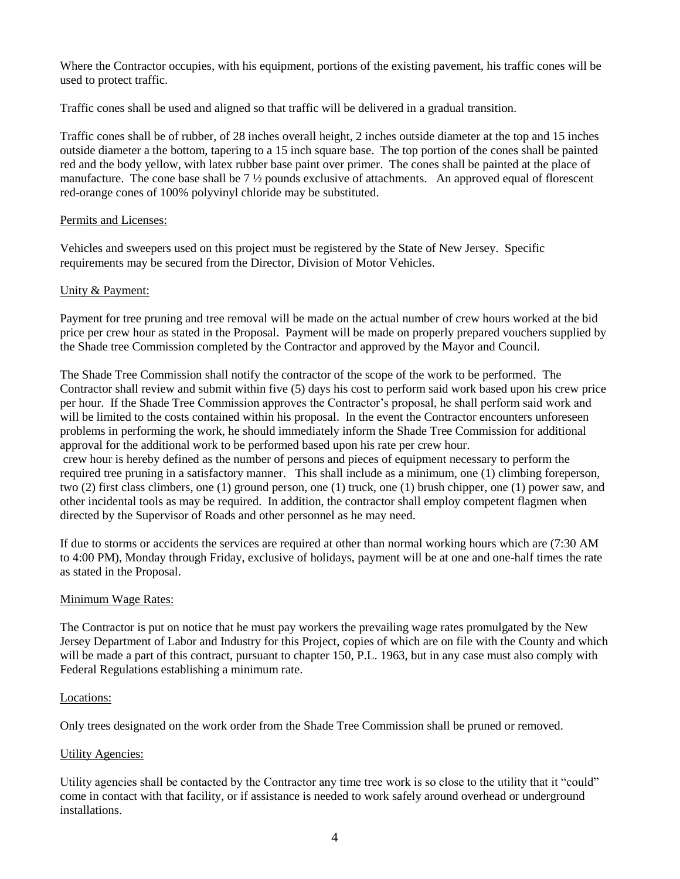Where the Contractor occupies, with his equipment, portions of the existing pavement, his traffic cones will be used to protect traffic.

Traffic cones shall be used and aligned so that traffic will be delivered in a gradual transition.

Traffic cones shall be of rubber, of 28 inches overall height, 2 inches outside diameter at the top and 15 inches outside diameter a the bottom, tapering to a 15 inch square base. The top portion of the cones shall be painted red and the body yellow, with latex rubber base paint over primer. The cones shall be painted at the place of manufacture. The cone base shall be 7 ½ pounds exclusive of attachments. An approved equal of florescent red-orange cones of 100% polyvinyl chloride may be substituted.

# Permits and Licenses:

Vehicles and sweepers used on this project must be registered by the State of New Jersey. Specific requirements may be secured from the Director, Division of Motor Vehicles.

# Unity & Payment:

Payment for tree pruning and tree removal will be made on the actual number of crew hours worked at the bid price per crew hour as stated in the Proposal. Payment will be made on properly prepared vouchers supplied by the Shade tree Commission completed by the Contractor and approved by the Mayor and Council.

The Shade Tree Commission shall notify the contractor of the scope of the work to be performed. The Contractor shall review and submit within five (5) days his cost to perform said work based upon his crew price per hour. If the Shade Tree Commission approves the Contractor's proposal, he shall perform said work and will be limited to the costs contained within his proposal. In the event the Contractor encounters unforeseen problems in performing the work, he should immediately inform the Shade Tree Commission for additional approval for the additional work to be performed based upon his rate per crew hour. crew hour is hereby defined as the number of persons and pieces of equipment necessary to perform the

required tree pruning in a satisfactory manner. This shall include as a minimum, one (1) climbing foreperson, two (2) first class climbers, one (1) ground person, one (1) truck, one (1) brush chipper, one (1) power saw, and other incidental tools as may be required. In addition, the contractor shall employ competent flagmen when directed by the Supervisor of Roads and other personnel as he may need.

If due to storms or accidents the services are required at other than normal working hours which are (7:30 AM to 4:00 PM), Monday through Friday, exclusive of holidays, payment will be at one and one-half times the rate as stated in the Proposal.

#### Minimum Wage Rates:

The Contractor is put on notice that he must pay workers the prevailing wage rates promulgated by the New Jersey Department of Labor and Industry for this Project, copies of which are on file with the County and which will be made a part of this contract, pursuant to chapter 150, P.L. 1963, but in any case must also comply with Federal Regulations establishing a minimum rate.

#### Locations:

Only trees designated on the work order from the Shade Tree Commission shall be pruned or removed.

# Utility Agencies:

Utility agencies shall be contacted by the Contractor any time tree work is so close to the utility that it "could" come in contact with that facility, or if assistance is needed to work safely around overhead or underground installations.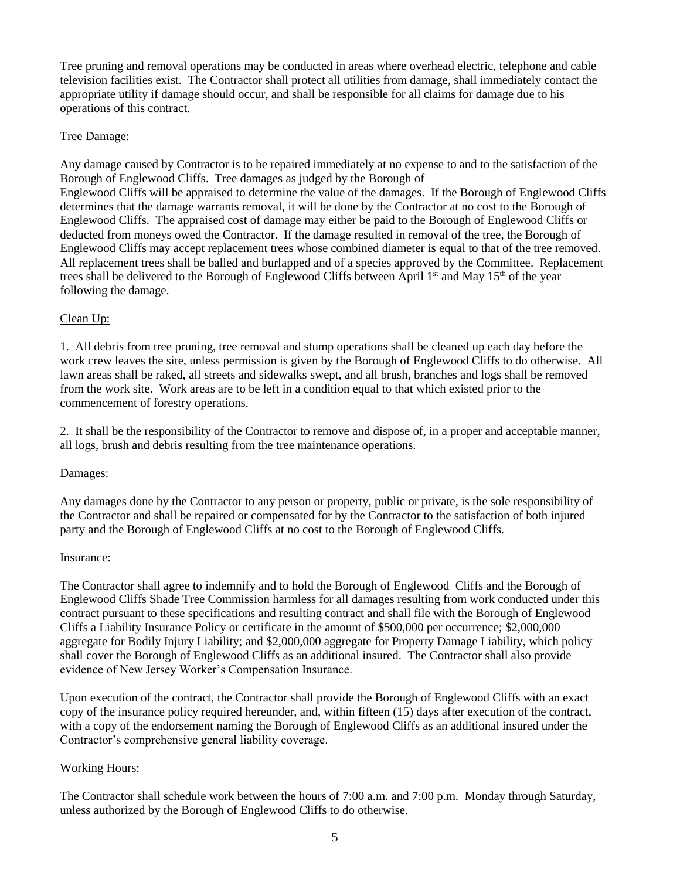Tree pruning and removal operations may be conducted in areas where overhead electric, telephone and cable television facilities exist. The Contractor shall protect all utilities from damage, shall immediately contact the appropriate utility if damage should occur, and shall be responsible for all claims for damage due to his operations of this contract.

# Tree Damage:

Any damage caused by Contractor is to be repaired immediately at no expense to and to the satisfaction of the Borough of Englewood Cliffs. Tree damages as judged by the Borough of Englewood Cliffs will be appraised to determine the value of the damages. If the Borough of Englewood Cliffs determines that the damage warrants removal, it will be done by the Contractor at no cost to the Borough of Englewood Cliffs. The appraised cost of damage may either be paid to the Borough of Englewood Cliffs or deducted from moneys owed the Contractor. If the damage resulted in removal of the tree, the Borough of Englewood Cliffs may accept replacement trees whose combined diameter is equal to that of the tree removed. All replacement trees shall be balled and burlapped and of a species approved by the Committee. Replacement trees shall be delivered to the Borough of Englewood Cliffs between April  $1<sup>st</sup>$  and May  $15<sup>th</sup>$  of the year following the damage.

# Clean Up:

1. All debris from tree pruning, tree removal and stump operations shall be cleaned up each day before the work crew leaves the site, unless permission is given by the Borough of Englewood Cliffs to do otherwise. All lawn areas shall be raked, all streets and sidewalks swept, and all brush, branches and logs shall be removed from the work site. Work areas are to be left in a condition equal to that which existed prior to the commencement of forestry operations.

2. It shall be the responsibility of the Contractor to remove and dispose of, in a proper and acceptable manner, all logs, brush and debris resulting from the tree maintenance operations.

#### Damages:

Any damages done by the Contractor to any person or property, public or private, is the sole responsibility of the Contractor and shall be repaired or compensated for by the Contractor to the satisfaction of both injured party and the Borough of Englewood Cliffs at no cost to the Borough of Englewood Cliffs.

#### Insurance:

The Contractor shall agree to indemnify and to hold the Borough of Englewood Cliffs and the Borough of Englewood Cliffs Shade Tree Commission harmless for all damages resulting from work conducted under this contract pursuant to these specifications and resulting contract and shall file with the Borough of Englewood Cliffs a Liability Insurance Policy or certificate in the amount of \$500,000 per occurrence; \$2,000,000 aggregate for Bodily Injury Liability; and \$2,000,000 aggregate for Property Damage Liability, which policy shall cover the Borough of Englewood Cliffs as an additional insured. The Contractor shall also provide evidence of New Jersey Worker's Compensation Insurance.

Upon execution of the contract, the Contractor shall provide the Borough of Englewood Cliffs with an exact copy of the insurance policy required hereunder, and, within fifteen (15) days after execution of the contract, with a copy of the endorsement naming the Borough of Englewood Cliffs as an additional insured under the Contractor's comprehensive general liability coverage.

#### Working Hours:

The Contractor shall schedule work between the hours of 7:00 a.m. and 7:00 p.m. Monday through Saturday, unless authorized by the Borough of Englewood Cliffs to do otherwise.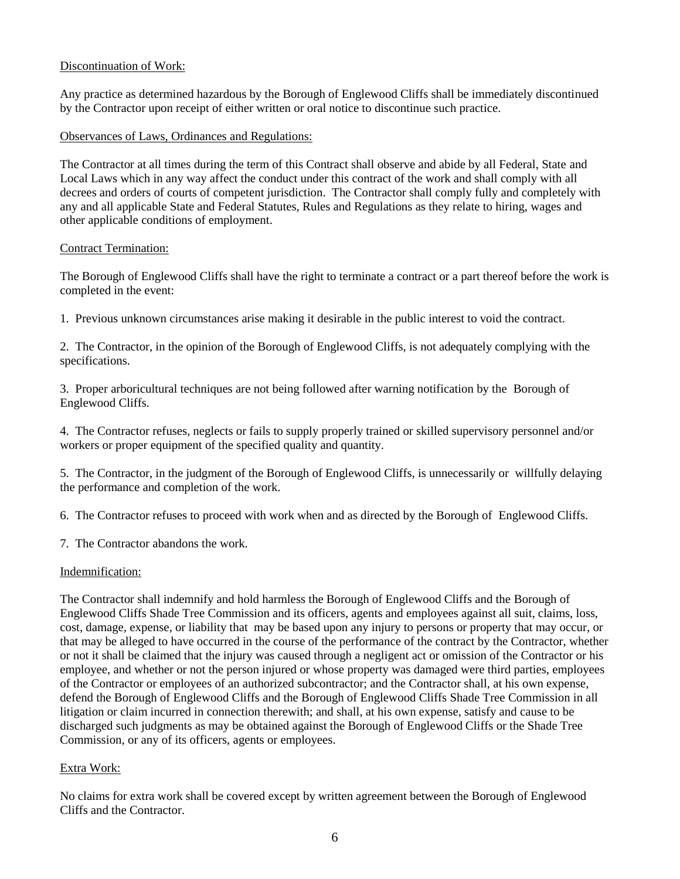# Discontinuation of Work:

Any practice as determined hazardous by the Borough of Englewood Cliffs shall be immediately discontinued by the Contractor upon receipt of either written or oral notice to discontinue such practice.

# Observances of Laws, Ordinances and Regulations:

The Contractor at all times during the term of this Contract shall observe and abide by all Federal, State and Local Laws which in any way affect the conduct under this contract of the work and shall comply with all decrees and orders of courts of competent jurisdiction. The Contractor shall comply fully and completely with any and all applicable State and Federal Statutes, Rules and Regulations as they relate to hiring, wages and other applicable conditions of employment.

#### Contract Termination:

The Borough of Englewood Cliffs shall have the right to terminate a contract or a part thereof before the work is completed in the event:

1. Previous unknown circumstances arise making it desirable in the public interest to void the contract.

2. The Contractor, in the opinion of the Borough of Englewood Cliffs, is not adequately complying with the specifications.

3. Proper arboricultural techniques are not being followed after warning notification by the Borough of Englewood Cliffs.

4. The Contractor refuses, neglects or fails to supply properly trained or skilled supervisory personnel and/or workers or proper equipment of the specified quality and quantity.

5. The Contractor, in the judgment of the Borough of Englewood Cliffs, is unnecessarily or willfully delaying the performance and completion of the work.

6. The Contractor refuses to proceed with work when and as directed by the Borough of Englewood Cliffs.

7. The Contractor abandons the work.

#### Indemnification:

The Contractor shall indemnify and hold harmless the Borough of Englewood Cliffs and the Borough of Englewood Cliffs Shade Tree Commission and its officers, agents and employees against all suit, claims, loss, cost, damage, expense, or liability that may be based upon any injury to persons or property that may occur, or that may be alleged to have occurred in the course of the performance of the contract by the Contractor, whether or not it shall be claimed that the injury was caused through a negligent act or omission of the Contractor or his employee, and whether or not the person injured or whose property was damaged were third parties, employees of the Contractor or employees of an authorized subcontractor; and the Contractor shall, at his own expense, defend the Borough of Englewood Cliffs and the Borough of Englewood Cliffs Shade Tree Commission in all litigation or claim incurred in connection therewith; and shall, at his own expense, satisfy and cause to be discharged such judgments as may be obtained against the Borough of Englewood Cliffs or the Shade Tree Commission, or any of its officers, agents or employees.

# Extra Work:

No claims for extra work shall be covered except by written agreement between the Borough of Englewood Cliffs and the Contractor.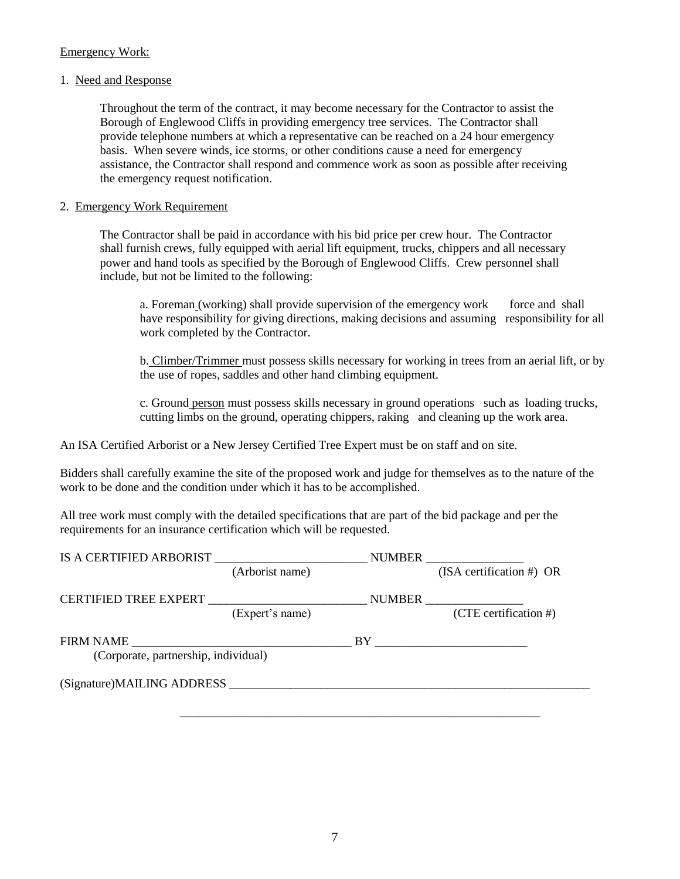# Emergency Work:

## 1. Need and Response

Throughout the term of the contract, it may become necessary for the Contractor to assist the Borough of Englewood Cliffs in providing emergency tree services. The Contractor shall provide telephone numbers at which a representative can be reached on a 24 hour emergency basis. When severe winds, ice storms, or other conditions cause a need for emergency assistance, the Contractor shall respond and commence work as soon as possible after receiving the emergency request notification.

## 2. Emergency Work Requirement

The Contractor shall be paid in accordance with his bid price per crew hour. The Contractor shall furnish crews, fully equipped with aerial lift equipment, trucks, chippers and all necessary power and hand tools as specified by the Borough of Englewood Cliffs. Crew personnel shall include, but not be limited to the following:

a. Foreman (working) shall provide supervision of the emergency work force and shall have responsibility for giving directions, making decisions and assuming responsibility for all work completed by the Contractor.

b. Climber/Trimmer must possess skills necessary for working in trees from an aerial lift, or by the use of ropes, saddles and other hand climbing equipment.

c. Ground person must possess skills necessary in ground operations such as loading trucks, cutting limbs on the ground, operating chippers, raking and cleaning up the work area.

An ISA Certified Arborist or a New Jersey Certified Tree Expert must be on staff and on site.

Bidders shall carefully examine the site of the proposed work and judge for themselves as to the nature of the work to be done and the condition under which it has to be accomplished.

All tree work must comply with the detailed specifications that are part of the bid package and per the requirements for an insurance certification which will be requested.

|                                      |                                                                                                                      | NUMBER |                            |
|--------------------------------------|----------------------------------------------------------------------------------------------------------------------|--------|----------------------------|
|                                      | (Arborist name)                                                                                                      |        | $(ISA$ certification #) OR |
| <b>CERTIFIED TREE EXPERT</b>         | <u> 1980 - Jan Stein Stein Stein Stein Stein Stein Stein Stein Stein Stein Stein Stein Stein Stein Stein Stein S</u> | NUMBER |                            |
|                                      | (Expert's name)                                                                                                      |        | $(CTE$ certification #)    |
| <b>FIRM NAME</b>                     |                                                                                                                      | BY.    |                            |
| (Corporate, partnership, individual) |                                                                                                                      |        |                            |
| (Signature)MAILING ADDRESS           |                                                                                                                      |        |                            |

\_\_\_\_\_\_\_\_\_\_\_\_\_\_\_\_\_\_\_\_\_\_\_\_\_\_\_\_\_\_\_\_\_\_\_\_\_\_\_\_\_\_\_\_\_\_\_\_\_\_\_\_\_\_\_\_\_\_\_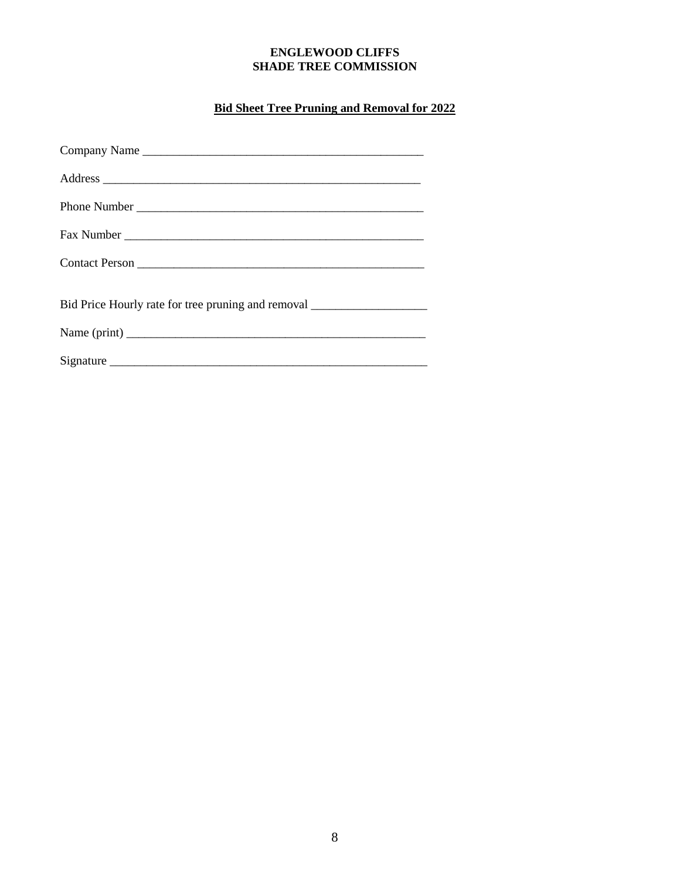# **ENGLEWOOD CLIFFS SHADE TREE COMMISSION**

# **Bid Sheet Tree Pruning and Removal for 2022**

| Company Name                                                                     |
|----------------------------------------------------------------------------------|
|                                                                                  |
|                                                                                  |
|                                                                                  |
|                                                                                  |
| Bid Price Hourly rate for tree pruning and removal _____________________________ |
|                                                                                  |
|                                                                                  |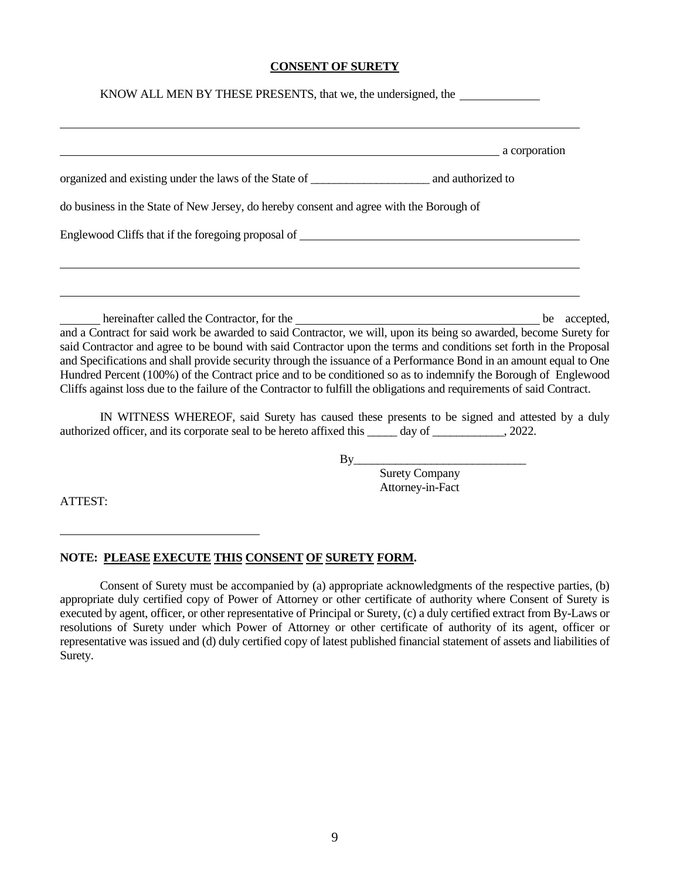#### **CONSENT OF SURETY**

| KNOW ALL MEN BY THESE PRESENTS, that we, the undersigned, the                                                                                                                                                                                                                                                                                                                                                                                                                                                                                                                                                                                                                                         |
|-------------------------------------------------------------------------------------------------------------------------------------------------------------------------------------------------------------------------------------------------------------------------------------------------------------------------------------------------------------------------------------------------------------------------------------------------------------------------------------------------------------------------------------------------------------------------------------------------------------------------------------------------------------------------------------------------------|
| a corporation and a corporation                                                                                                                                                                                                                                                                                                                                                                                                                                                                                                                                                                                                                                                                       |
|                                                                                                                                                                                                                                                                                                                                                                                                                                                                                                                                                                                                                                                                                                       |
| do business in the State of New Jersey, do hereby consent and agree with the Borough of                                                                                                                                                                                                                                                                                                                                                                                                                                                                                                                                                                                                               |
| Englewood Cliffs that if the foregoing proposal of Theorem 2012 and 2012 and 2013 and 2013 and 2013 and 2013 and 2013 and 2013 and 2013 and 2013 and 2013 and 2013 and 2013 and 2013 and 2013 and 2013 and 2013 and 2013 and 2                                                                                                                                                                                                                                                                                                                                                                                                                                                                        |
|                                                                                                                                                                                                                                                                                                                                                                                                                                                                                                                                                                                                                                                                                                       |
|                                                                                                                                                                                                                                                                                                                                                                                                                                                                                                                                                                                                                                                                                                       |
| hereinafter called the Contractor, for the 1990 and 1990 and 1990 and 1990 are accepted,<br>and a Contract for said work be awarded to said Contractor, we will, upon its being so awarded, become Surety for<br>said Contractor and agree to be bound with said Contractor upon the terms and conditions set forth in the Proposal<br>and Specifications and shall provide security through the issuance of a Performance Bond in an amount equal to One<br>Hundred Percent (100%) of the Contract price and to be conditioned so as to indemnify the Borough of Englewood<br>Cliffs against loss due to the failure of the Contractor to fulfill the obligations and requirements of said Contract. |

IN WITNESS WHEREOF, said Surety has caused these presents to be signed and attested by a duly authorized officer, and its corporate seal to be hereto affixed this \_\_\_\_\_ day of \_\_\_\_\_\_\_\_\_\_, 2022.

 $By$ 

 Surety Company Attorney-in-Fact

ATTEST:

#### **NOTE: PLEASE EXECUTE THIS CONSENT OF SURETY FORM.**

Consent of Surety must be accompanied by (a) appropriate acknowledgments of the respective parties, (b) appropriate duly certified copy of Power of Attorney or other certificate of authority where Consent of Surety is executed by agent, officer, or other representative of Principal or Surety, (c) a duly certified extract from By-Laws or resolutions of Surety under which Power of Attorney or other certificate of authority of its agent, officer or representative was issued and (d) duly certified copy of latest published financial statement of assets and liabilities of Surety.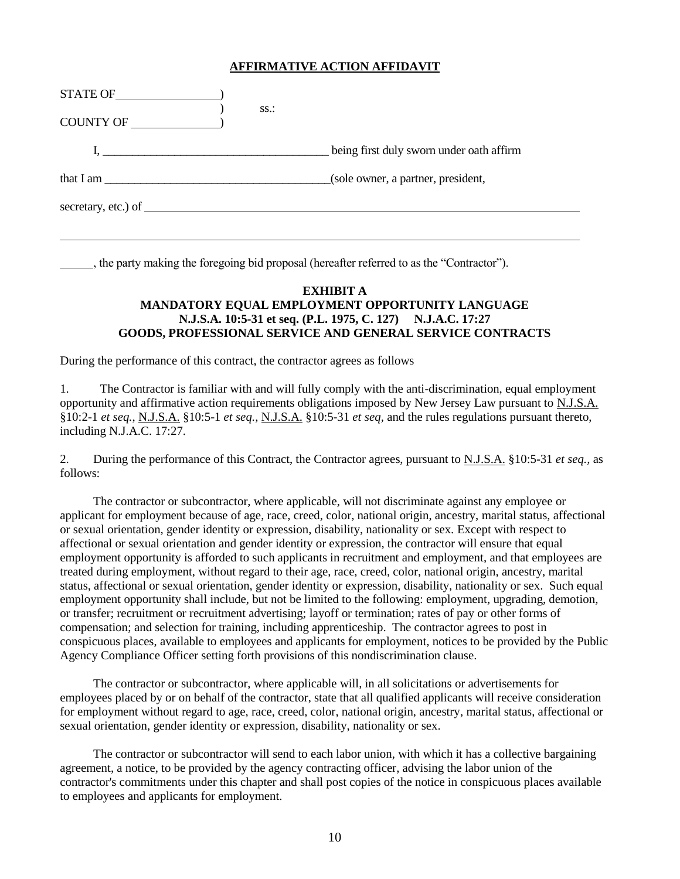#### **AFFIRMATIVE ACTION AFFIDAVIT**

| STATE OF               | $SS.$ :                                  |
|------------------------|------------------------------------------|
| COUNTY OF              |                                          |
| $\mathbf{I}_{\bullet}$ | being first duly sworn under oath affirm |
| that I am              | (sole owner, a partner, president,       |
| secretary, etc.) of    |                                          |

, the party making the foregoing bid proposal (hereafter referred to as the "Contractor").

#### **EXHIBIT A MANDATORY EQUAL EMPLOYMENT OPPORTUNITY LANGUAGE N.J.S.A. 10:5-31 et seq. (P.L. 1975, C. 127) N.J.A.C. 17:27 GOODS, PROFESSIONAL SERVICE AND GENERAL SERVICE CONTRACTS**

l.

During the performance of this contract, the contractor agrees as follows

1. The Contractor is familiar with and will fully comply with the anti-discrimination, equal employment opportunity and affirmative action requirements obligations imposed by New Jersey Law pursuant to N.J.S.A. §10:2-1 *et seq.*, N.J.S.A. §10:5-1 *et seq.,* N.J.S.A. §10:5-31 *et seq,* and the rules regulations pursuant thereto, including N.J.A.C. 17:27.

2. During the performance of this Contract, the Contractor agrees, pursuant to N.J.S.A. §10:5-31 *et seq.,* as follows:

The contractor or subcontractor, where applicable, will not discriminate against any employee or applicant for employment because of age, race, creed, color, national origin, ancestry, marital status, affectional or sexual orientation, gender identity or expression, disability, nationality or sex. Except with respect to affectional or sexual orientation and gender identity or expression, the contractor will ensure that equal employment opportunity is afforded to such applicants in recruitment and employment, and that employees are treated during employment, without regard to their age, race, creed, color, national origin, ancestry, marital status, affectional or sexual orientation, gender identity or expression, disability, nationality or sex. Such equal employment opportunity shall include, but not be limited to the following: employment, upgrading, demotion, or transfer; recruitment or recruitment advertising; layoff or termination; rates of pay or other forms of compensation; and selection for training, including apprenticeship. The contractor agrees to post in conspicuous places, available to employees and applicants for employment, notices to be provided by the Public Agency Compliance Officer setting forth provisions of this nondiscrimination clause.

The contractor or subcontractor, where applicable will, in all solicitations or advertisements for employees placed by or on behalf of the contractor, state that all qualified applicants will receive consideration for employment without regard to age, race, creed, color, national origin, ancestry, marital status, affectional or sexual orientation, gender identity or expression, disability, nationality or sex.

The contractor or subcontractor will send to each labor union, with which it has a collective bargaining agreement, a notice, to be provided by the agency contracting officer, advising the labor union of the contractor's commitments under this chapter and shall post copies of the notice in conspicuous places available to employees and applicants for employment.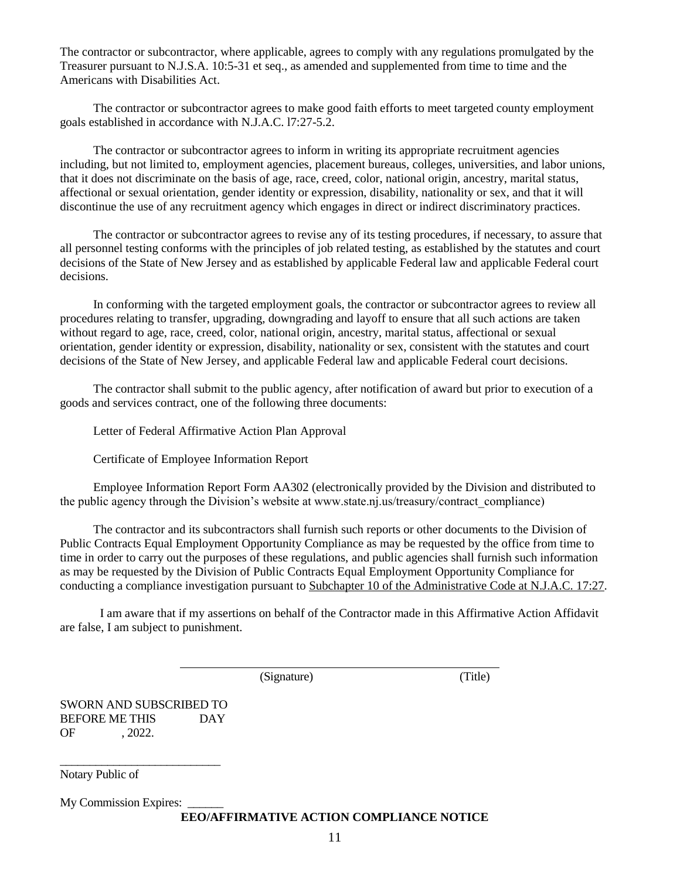The contractor or subcontractor, where applicable, agrees to comply with any regulations promulgated by the Treasurer pursuant to N.J.S.A. 10:5-31 et seq., as amended and supplemented from time to time and the Americans with Disabilities Act.

The contractor or subcontractor agrees to make good faith efforts to meet targeted county employment goals established in accordance with N.J.A.C. l7:27-5.2.

The contractor or subcontractor agrees to inform in writing its appropriate recruitment agencies including, but not limited to, employment agencies, placement bureaus, colleges, universities, and labor unions, that it does not discriminate on the basis of age, race, creed, color, national origin, ancestry, marital status, affectional or sexual orientation, gender identity or expression, disability, nationality or sex, and that it will discontinue the use of any recruitment agency which engages in direct or indirect discriminatory practices.

The contractor or subcontractor agrees to revise any of its testing procedures, if necessary, to assure that all personnel testing conforms with the principles of job related testing, as established by the statutes and court decisions of the State of New Jersey and as established by applicable Federal law and applicable Federal court decisions.

In conforming with the targeted employment goals, the contractor or subcontractor agrees to review all procedures relating to transfer, upgrading, downgrading and layoff to ensure that all such actions are taken without regard to age, race, creed, color, national origin, ancestry, marital status, affectional or sexual orientation, gender identity or expression, disability, nationality or sex, consistent with the statutes and court decisions of the State of New Jersey, and applicable Federal law and applicable Federal court decisions.

The contractor shall submit to the public agency, after notification of award but prior to execution of a goods and services contract, one of the following three documents:

Letter of Federal Affirmative Action Plan Approval

Certificate of Employee Information Report

Employee Information Report Form AA302 (electronically provided by the Division and distributed to the public agency through the Division's website at www.state.nj.us/treasury/contract\_compliance)

The contractor and its subcontractors shall furnish such reports or other documents to the Division of Public Contracts Equal Employment Opportunity Compliance as may be requested by the office from time to time in order to carry out the purposes of these regulations, and public agencies shall furnish such information as may be requested by the Division of Public Contracts Equal Employment Opportunity Compliance for conducting a compliance investigation pursuant to Subchapter 10 of the Administrative Code at N.J.A.C. 17:27.

I am aware that if my assertions on behalf of the Contractor made in this Affirmative Action Affidavit are false, I am subject to punishment.

(Signature) (Title)

SWORN AND SUBSCRIBED TO BEFORE ME THIS DAY OF , 2022.

\_\_\_\_\_\_\_\_\_\_\_\_\_\_\_\_\_\_\_\_\_\_\_\_\_\_\_

Notary Public of

My Commission Expires:

**EEO/AFFIRMATIVE ACTION COMPLIANCE NOTICE**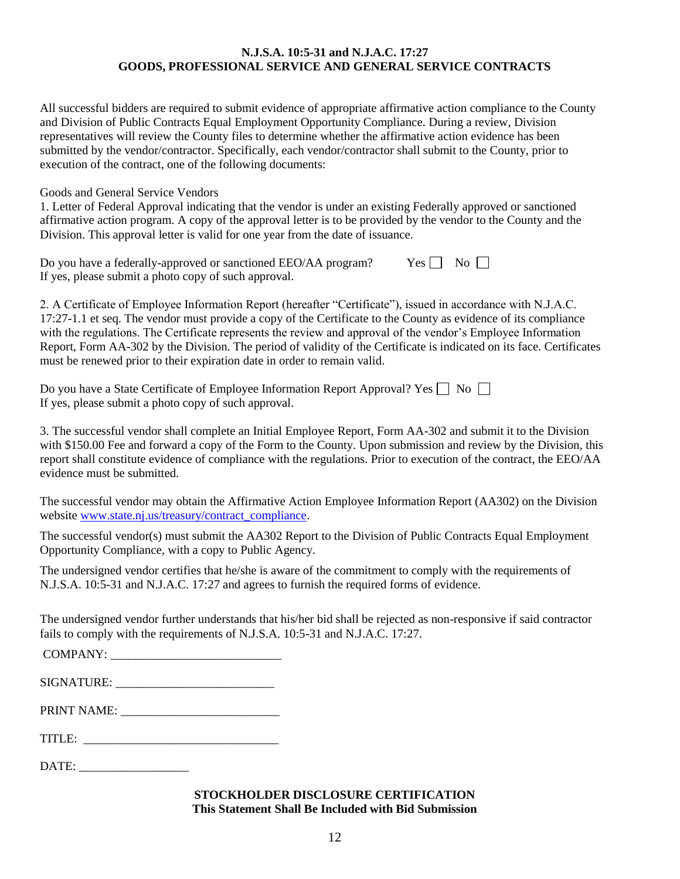#### **N.J.S.A. 10:5-31 and N.J.A.C. 17:27 GOODS, PROFESSIONAL SERVICE AND GENERAL SERVICE CONTRACTS**

All successful bidders are required to submit evidence of appropriate affirmative action compliance to the County and Division of Public Contracts Equal Employment Opportunity Compliance. During a review, Division representatives will review the County files to determine whether the affirmative action evidence has been submitted by the vendor/contractor. Specifically, each vendor/contractor shall submit to the County, prior to execution of the contract, one of the following documents:

Goods and General Service Vendors

1. Letter of Federal Approval indicating that the vendor is under an existing Federally approved or sanctioned affirmative action program. A copy of the approval letter is to be provided by the vendor to the County and the Division. This approval letter is valid for one year from the date of issuance.

|                                                      | Do you have a federally-approved or sanctioned EEO/AA program? | $Yes \Box No \Box$ |  |
|------------------------------------------------------|----------------------------------------------------------------|--------------------|--|
| If yes, please submit a photo copy of such approval. |                                                                |                    |  |

2. A Certificate of Employee Information Report (hereafter "Certificate"), issued in accordance with N.J.A.C. 17:27-1.1 et seq. The vendor must provide a copy of the Certificate to the County as evidence of its compliance with the regulations. The Certificate represents the review and approval of the vendor's Employee Information Report, Form AA-302 by the Division. The period of validity of the Certificate is indicated on its face. Certificates must be renewed prior to their expiration date in order to remain valid.

| Do you have a State Certificate of Employee Information Report Approval? Yes $\Box$ No $\Box$ |  |
|-----------------------------------------------------------------------------------------------|--|
| If yes, please submit a photo copy of such approval.                                          |  |

3. The successful vendor shall complete an Initial Employee Report, Form AA-302 and submit it to the Division with \$150.00 Fee and forward a copy of the Form to the County. Upon submission and review by the Division, this report shall constitute evidence of compliance with the regulations. Prior to execution of the contract, the EEO/AA evidence must be submitted.

The successful vendor may obtain the Affirmative Action Employee Information Report (AA302) on the Division website [www.state.nj.us/treasury/contract\\_compliance.](http://www.state.nj.us/treasury/contract_compliance)

The successful vendor(s) must submit the AA302 Report to the Division of Public Contracts Equal Employment Opportunity Compliance, with a copy to Public Agency.

The undersigned vendor certifies that he/she is aware of the commitment to comply with the requirements of N.J.S.A. 10:5-31 and N.J.A.C. 17:27 and agrees to furnish the required forms of evidence.

The undersigned vendor further understands that his/her bid shall be rejected as non-responsive if said contractor fails to comply with the requirements of N.J.S.A. 10:5-31 and N.J.A.C. 17:27.

| COMPANY |  |
|---------|--|
|         |  |

SIGNATURE: \_\_\_\_\_\_\_\_\_\_\_\_\_\_\_\_\_\_\_\_\_\_\_\_\_\_

PRINT NAME: \_\_\_\_\_\_\_\_\_\_\_\_\_\_\_\_\_\_\_\_\_\_\_\_\_\_

| TITI E |  |
|--------|--|
|--------|--|

DATE: \_\_\_\_\_\_\_\_\_\_\_\_\_\_\_\_\_\_

#### **STOCKHOLDER DISCLOSURE CERTIFICATION This Statement Shall Be Included with Bid Submission**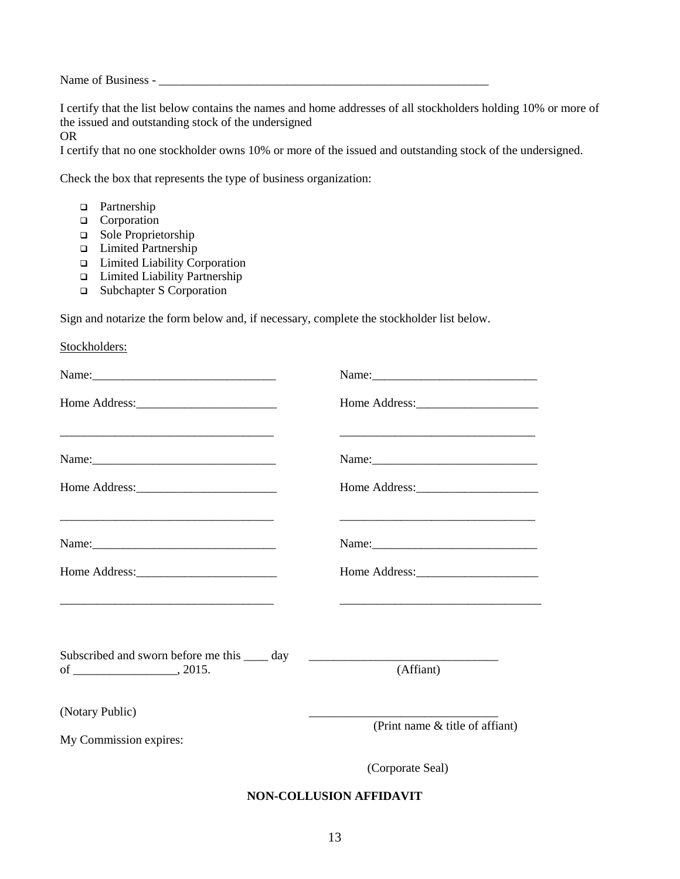Name of Business -

I certify that the list below contains the names and home addresses of all stockholders holding 10% or more of the issued and outstanding stock of the undersigned

OR

I certify that no one stockholder owns 10% or more of the issued and outstanding stock of the undersigned.

Check the box that represents the type of business organization:

- **Partnership**
- **Q** Corporation
- □ Sole Proprietorship
- Limited Partnership
- Limited Liability Corporation
- Limited Liability Partnership
- □ Subchapter S Corporation

Sign and notarize the form below and, if necessary, complete the stockholder list below.

| Stockholders:                                                                                                         |                                                                                                                      |
|-----------------------------------------------------------------------------------------------------------------------|----------------------------------------------------------------------------------------------------------------------|
|                                                                                                                       |                                                                                                                      |
|                                                                                                                       |                                                                                                                      |
| <u> 1989 - Johann Stoff, deutscher Stoff, der Stoff, der Stoff, der Stoff, der Stoff, der Stoff, der Stoff, der S</u> | <u> 1989 - Johann Barbara, martin amerikan basar dan berasal dalam basa dalam basa dalam basa dalam basa dalam b</u> |
|                                                                                                                       |                                                                                                                      |
|                                                                                                                       |                                                                                                                      |
|                                                                                                                       | <u> 1989 - Johann Barbara, martxa alemaniar argumento de la contrada de la contrada de la contrada de la contrad</u> |
| Subscribed and sworn before me this _____ day                                                                         |                                                                                                                      |
|                                                                                                                       | (Affiant)                                                                                                            |
| (Notary Public)<br>My Commission expires:                                                                             | (Print name & title of affiant)                                                                                      |
|                                                                                                                       | (Corporate Seal)                                                                                                     |
|                                                                                                                       | <b>NON-COLLUSION AFFIDAVIT</b>                                                                                       |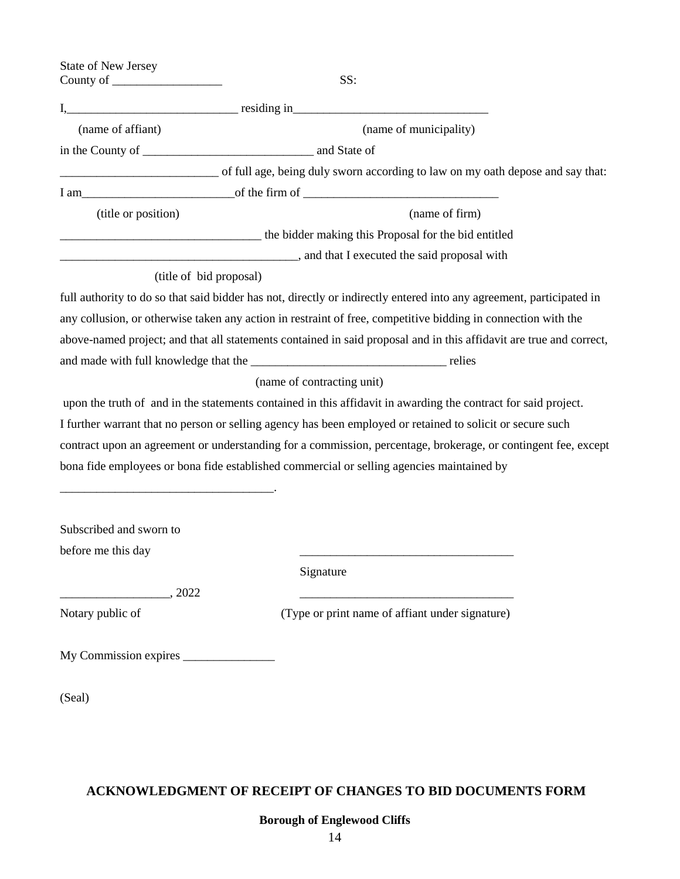| <b>State of New Jersey</b><br>County of $\_\_$ | SS:                                                                                                                  |  |  |
|------------------------------------------------|----------------------------------------------------------------------------------------------------------------------|--|--|
|                                                |                                                                                                                      |  |  |
| (name of affiant)                              | (name of municipality)                                                                                               |  |  |
|                                                |                                                                                                                      |  |  |
|                                                | of full age, being duly sworn according to law on my oath depose and say that:                                       |  |  |
|                                                |                                                                                                                      |  |  |
| (title or position)                            | (name of firm)                                                                                                       |  |  |
|                                                | the bidder making this Proposal for the bid entitled                                                                 |  |  |
|                                                | and that I executed the said proposal with                                                                           |  |  |
| (title of bid proposal)                        |                                                                                                                      |  |  |
|                                                | full authority to do so that said bidder has not, directly or indirectly entered into any agreement, participated in |  |  |
|                                                | any collusion, or otherwise taken any action in restraint of free, competitive bidding in connection with the        |  |  |
|                                                | above-named project; and that all statements contained in said proposal and in this affidavit are true and correct,  |  |  |
|                                                |                                                                                                                      |  |  |
|                                                | (name of contracting unit)                                                                                           |  |  |
|                                                | upon the truth of and in the statements contained in this affidavit in awarding the contract for said project.       |  |  |
|                                                | I further warrant that no person or selling agency has been employed or retained to solicit or secure such           |  |  |
|                                                | contract upon an agreement or understanding for a commission, percentage, brokerage, or contingent fee, except       |  |  |
|                                                | bona fide employees or bona fide established commercial or selling agencies maintained by                            |  |  |
|                                                |                                                                                                                      |  |  |
| Subscribed and sworn to                        |                                                                                                                      |  |  |
| before me this day                             |                                                                                                                      |  |  |
|                                                | Signature                                                                                                            |  |  |
| $\frac{1}{2022}$ , 2022                        |                                                                                                                      |  |  |
| Notary public of                               | (Type or print name of affiant under signature)                                                                      |  |  |
|                                                |                                                                                                                      |  |  |
| (Seal)                                         |                                                                                                                      |  |  |

# **ACKNOWLEDGMENT OF RECEIPT OF CHANGES TO BID DOCUMENTS FORM**

**Borough of Englewood Cliffs**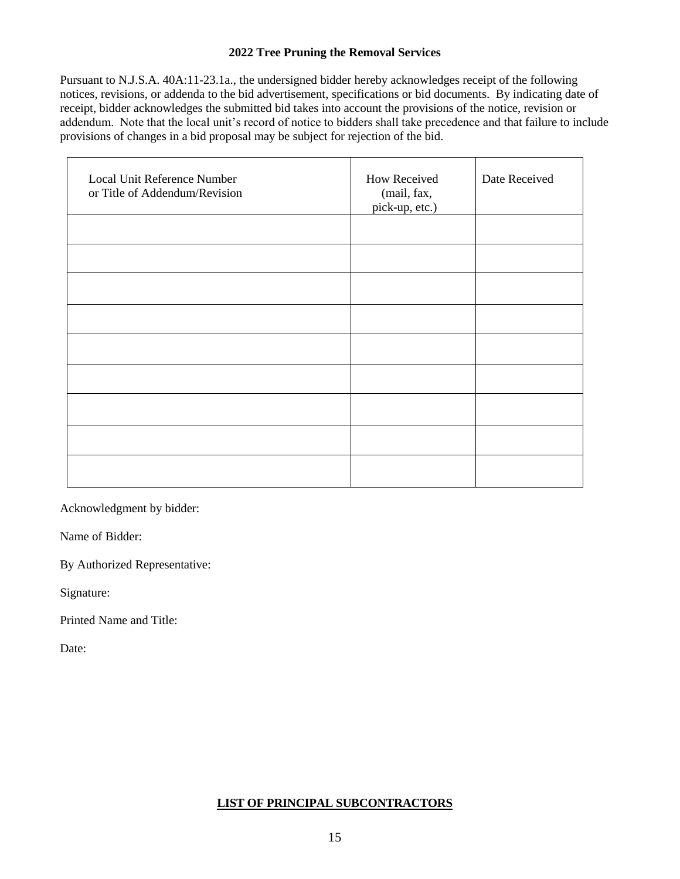# **2022 Tree Pruning the Removal Services**

Pursuant to N.J.S.A. 40A:11-23.1a., the undersigned bidder hereby acknowledges receipt of the following notices, revisions, or addenda to the bid advertisement, specifications or bid documents. By indicating date of receipt, bidder acknowledges the submitted bid takes into account the provisions of the notice, revision or addendum. Note that the local unit's record of notice to bidders shall take precedence and that failure to include provisions of changes in a bid proposal may be subject for rejection of the bid.

| Local Unit Reference Number<br>or Title of Addendum/Revision | How Received<br>(mail, fax,<br>pick-up, etc.) | Date Received |
|--------------------------------------------------------------|-----------------------------------------------|---------------|
|                                                              |                                               |               |
|                                                              |                                               |               |
|                                                              |                                               |               |
|                                                              |                                               |               |
|                                                              |                                               |               |
|                                                              |                                               |               |
|                                                              |                                               |               |
|                                                              |                                               |               |
|                                                              |                                               |               |

Acknowledgment by bidder:

Name of Bidder:

By Authorized Representative:

Signature:

Printed Name and Title:

Date:

#### **LIST OF PRINCIPAL SUBCONTRACTORS**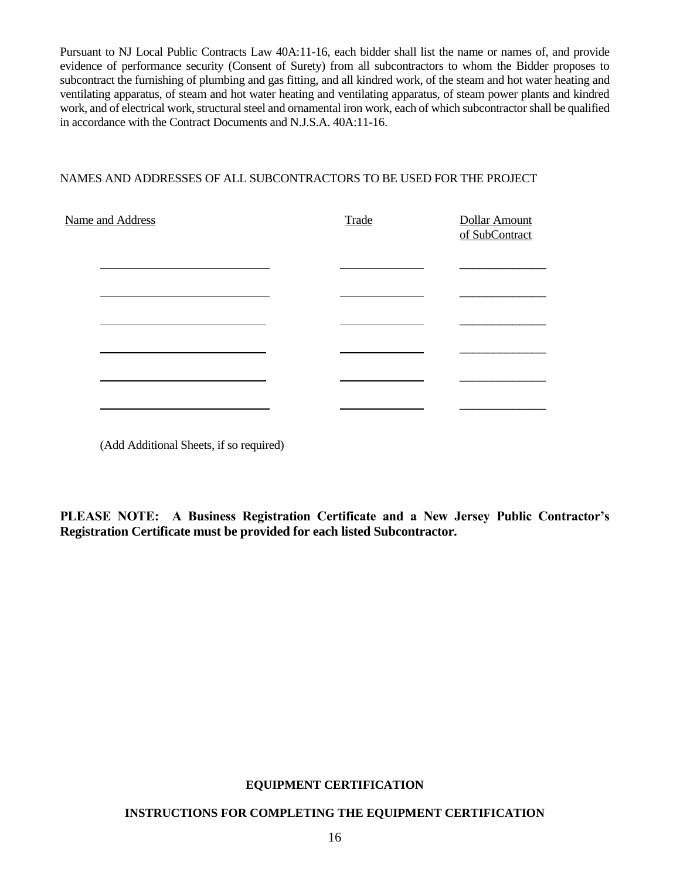Pursuant to NJ Local Public Contracts Law 40A:11-16, each bidder shall list the name or names of, and provide evidence of performance security (Consent of Surety) from all subcontractors to whom the Bidder proposes to subcontract the furnishing of plumbing and gas fitting, and all kindred work, of the steam and hot water heating and ventilating apparatus, of steam and hot water heating and ventilating apparatus, of steam power plants and kindred work, and of electrical work, structural steel and ornamental iron work, each of which subcontractor shall be qualified in accordance with the Contract Documents and N.J.S.A. 40A:11-16.

# NAMES AND ADDRESSES OF ALL SUBCONTRACTORS TO BE USED FOR THE PROJECT

| Name and Address | Trade | Dollar Amount<br>of SubContract |
|------------------|-------|---------------------------------|
|                  |       |                                 |
|                  |       |                                 |
|                  |       |                                 |
|                  |       |                                 |
|                  |       |                                 |
|                  |       |                                 |

(Add Additional Sheets, if so required)

**PLEASE NOTE: A Business Registration Certificate and a New Jersey Public Contractor's Registration Certificate must be provided for each listed Subcontractor.**

# **EQUIPMENT CERTIFICATION**

#### **INSTRUCTIONS FOR COMPLETING THE EQUIPMENT CERTIFICATION**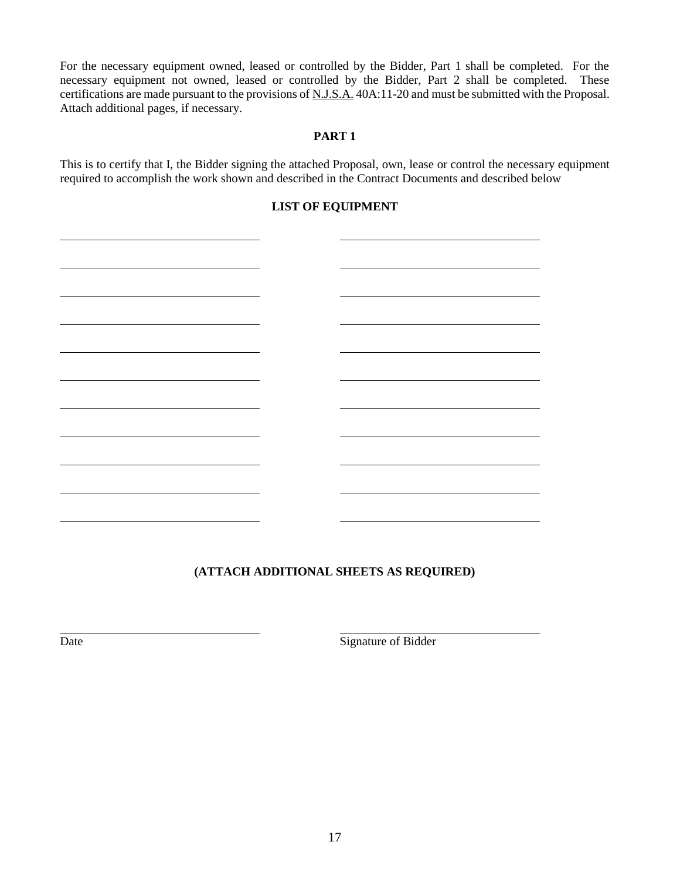For the necessary equipment owned, leased or controlled by the Bidder, Part 1 shall be completed. For the necessary equipment not owned, leased or controlled by the Bidder, Part 2 shall be completed. These certifications are made pursuant to the provisions of N.J.S.A. 40A:11-20 and must be submitted with the Proposal. Attach additional pages, if necessary.

## **PART 1**

This is to certify that I, the Bidder signing the attached Proposal, own, lease or control the necessary equipment required to accomplish the work shown and described in the Contract Documents and described below

# **LIST OF EQUIPMENT**

# **(ATTACH ADDITIONAL SHEETS AS REQUIRED)**

Date Signature of Bidder